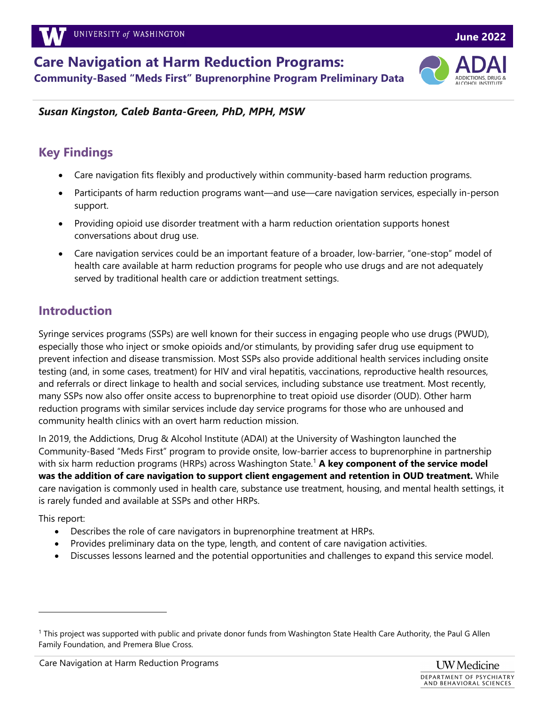**Care Navigation at Harm Reduction Programs: Community-Based "Meds First" Buprenorphine Program Preliminary Data**



### *Susan Kingston, Caleb Banta-Green, PhD, MPH, MSW*

### **Key Findings**

- Care navigation fits flexibly and productively within community-based harm reduction programs.
	- Participants of harm reduction programs want—and use—care navigation services, especially in-person support.
	- Providing opioid use disorder treatment with a harm reduction orientation supports honest conversations about drug use.
	- Care navigation services could be an important feature of a broader, low-barrier, "one-stop" model of health care available at harm reduction programs for people who use drugs and are not adequately served by traditional health care or addiction treatment settings.

# **Introduction**

Syringe services programs (SSPs) are well known for their success in engaging people who use drugs (PWUD), especially those who inject or smoke opioids and/or stimulants, by providing safer drug use equipment to prevent infection and disease transmission. Most SSPs also provide additional health services including onsite testing (and, in some cases, treatment) for HIV and viral hepatitis, vaccinations, reproductive health resources, and referrals or direct linkage to health and social services, including substance use treatment. Most recently, many SSPs now also offer onsite access to buprenorphine to treat opioid use disorder (OUD). Other harm reduction programs with similar services include day service programs for those who are unhoused and community health clinics with an overt harm reduction mission.

In 2019, the Addictions, Drug & Alcohol Institute (ADAI) at the University of Washington launched the Community-Based "Meds First" program to provide onsite, low-barrier access to buprenorphine in partnership with six harm reduction programs (HRPs) across Washington State. <sup>1</sup> **A key component of the service model was the addition of care navigation to support client engagement and retention in OUD treatment.** While care navigation is commonly used in health care, substance use treatment, housing, and mental health settings, it is rarely funded and available at SSPs and other HRPs.

This report:

- Describes the role of care navigators in buprenorphine treatment at HRPs.
- Provides preliminary data on the type, length, and content of care navigation activities.
- Discusses lessons learned and the potential opportunities and challenges to expand this service model.

<sup>1</sup> This project was supported with public and private donor funds from Washington State Health Care Authority, the Paul G Allen Family Foundation, and Premera Blue Cross.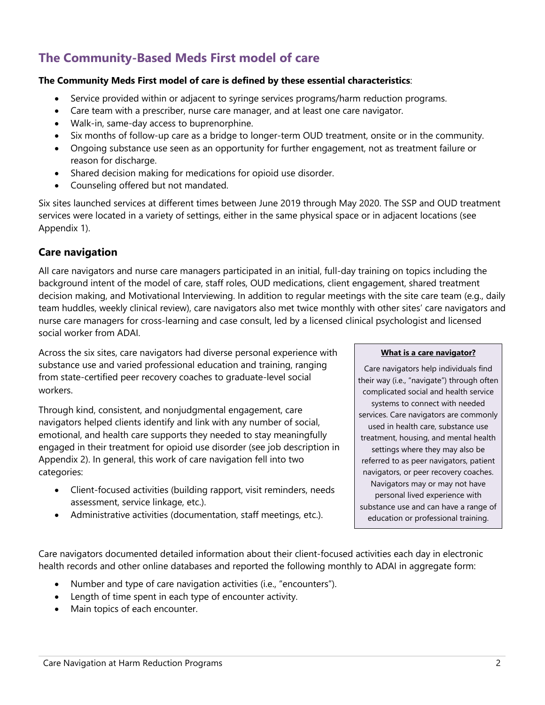# **The Community-Based Meds First model of care**

#### **The Community Meds First model of care is defined by these essential characteristics**:

- Service provided within or adjacent to syringe services programs/harm reduction programs.
- Care team with a prescriber, nurse care manager, and at least one care navigator.
- Walk-in, same-day access to buprenorphine.
- Six months of follow-up care as a bridge to longer-term OUD treatment, onsite or in the community.
- Ongoing substance use seen as an opportunity for further engagement, not as treatment failure or reason for discharge.
- Shared decision making for medications for opioid use disorder.
- Counseling offered but not mandated.

Six sites launched services at different times between June 2019 through May 2020. The SSP and OUD treatment services were located in a variety of settings, either in the same physical space or in adjacent locations (see Appendix 1).

### **Care navigation**

All care navigators and nurse care managers participated in an initial, full-day training on topics including the background intent of the model of care, staff roles, OUD medications, client engagement, shared treatment decision making, and Motivational Interviewing. In addition to regular meetings with the site care team (e.g., daily team huddles, weekly clinical review), care navigators also met twice monthly with other sites' care navigators and nurse care managers for cross-learning and case consult, led by a licensed clinical psychologist and licensed social worker from ADAI.

Across the six sites, care navigators had diverse personal experience with substance use and varied professional education and training, ranging from state-certified peer recovery coaches to graduate-level social workers.

Through kind, consistent, and nonjudgmental engagement, care navigators helped clients identify and link with any number of social, emotional, and health care supports they needed to stay meaningfully engaged in their treatment for opioid use disorder (see job description in Appendix 2). In general, this work of care navigation fell into two categories:

- Client-focused activities (building rapport, visit reminders, needs assessment, service linkage, etc.).
- Administrative activities (documentation, staff meetings, etc.).

#### **What is a care navigator?**

Care navigators help individuals find their way (i.e., "navigate") through often complicated social and health service systems to connect with needed services. Care navigators are commonly used in health care, substance use treatment, housing, and mental health settings where they may also be referred to as peer navigators, patient navigators, or peer recovery coaches. Navigators may or may not have personal lived experience with substance use and can have a range of education or professional training.

Care navigators documented detailed information about their client-focused activities each day in electronic health records and other online databases and reported the following monthly to ADAI in aggregate form:

- Number and type of care navigation activities (i.e., "encounters").
- Length of time spent in each type of encounter activity.
- Main topics of each encounter.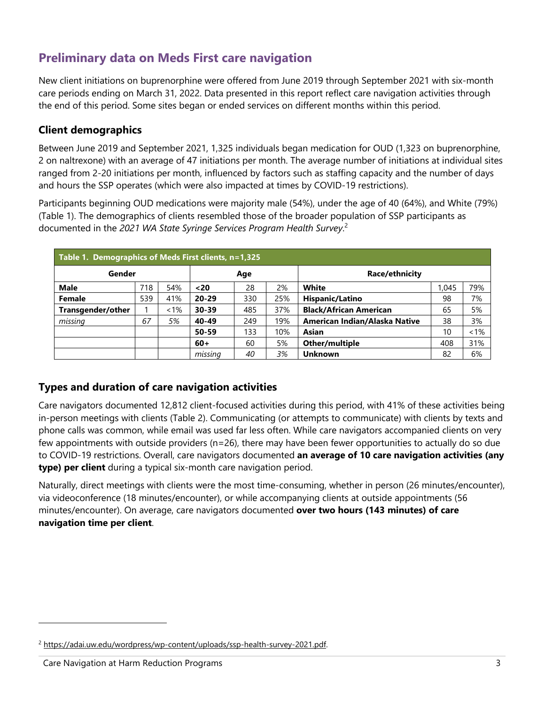# **Preliminary data on Meds First care navigation**

New client initiations on buprenorphine were offered from June 2019 through September 2021 with six-month care periods ending on March 31, 2022. Data presented in this report reflect care navigation activities through the end of this period. Some sites began or ended services on different months within this period.

### **Client demographics**

Between June 2019 and September 2021, 1,325 individuals began medication for OUD (1,323 on buprenorphine, 2 on naltrexone) with an average of 47 initiations per month. The average number of initiations at individual sites ranged from 2-20 initiations per month, influenced by factors such as staffing capacity and the number of days and hours the SSP operates (which were also impacted at times by COVID-19 restrictions).

Participants beginning OUD medications were majority male (54%), under the age of 40 (64%), and White (79%) (Table 1). The demographics of clients resembled those of the broader population of SSP participants as documented in the *2021 WA State Syringe Services Program Health Survey*. 2

| Table 1. Demographics of Meds First clients, n=1,325 |     |         |           |     |     |                               |       |     |
|------------------------------------------------------|-----|---------|-----------|-----|-----|-------------------------------|-------|-----|
| Gender                                               |     |         | Age       |     |     | Race/ethnicity                |       |     |
| <b>Male</b>                                          | 718 | 54%     | $20$      | 28  | 2%  | White                         | 1.045 | 79% |
| Female                                               | 539 | 41%     | $20 - 29$ | 330 | 25% | Hispanic/Latino               | 98    | 7%  |
| Transgender/other                                    |     | $< 1\%$ | $30 - 39$ | 485 | 37% | <b>Black/African American</b> | 65    | 5%  |
| missing                                              | 67  | 5%      | 40-49     | 249 | 19% | American Indian/Alaska Native | 38    | 3%  |
|                                                      |     |         | 50-59     | 133 | 10% | Asian                         | 10    | 1%  |
|                                                      |     |         | $60+$     | 60  | 5%  | Other/multiple                | 408   | 31% |
|                                                      |     |         | missing   | 40  | 3%  | Unknown                       | 82    | 6%  |

### **Types and duration of care navigation activities**

Care navigators documented 12,812 client-focused activities during this period, with 41% of these activities being in-person meetings with clients (Table 2). Communicating (or attempts to communicate) with clients by texts and phone calls was common, while email was used far less often. While care navigators accompanied clients on very few appointments with outside providers (n=26), there may have been fewer opportunities to actually do so due to COVID-19 restrictions. Overall, care navigators documented **an average of 10 care navigation activities (any type) per client** during a typical six-month care navigation period.

Naturally, direct meetings with clients were the most time-consuming, whether in person (26 minutes/encounter), via videoconference (18 minutes/encounter), or while accompanying clients at outside appointments (56 minutes/encounter). On average, care navigators documented **over two hours (143 minutes) of care navigation time per client**.

<sup>&</sup>lt;sup>2</sup> https://adai.uw.edu/wordpress/wp-content/uploads/ssp-health-survey-2021.pdf.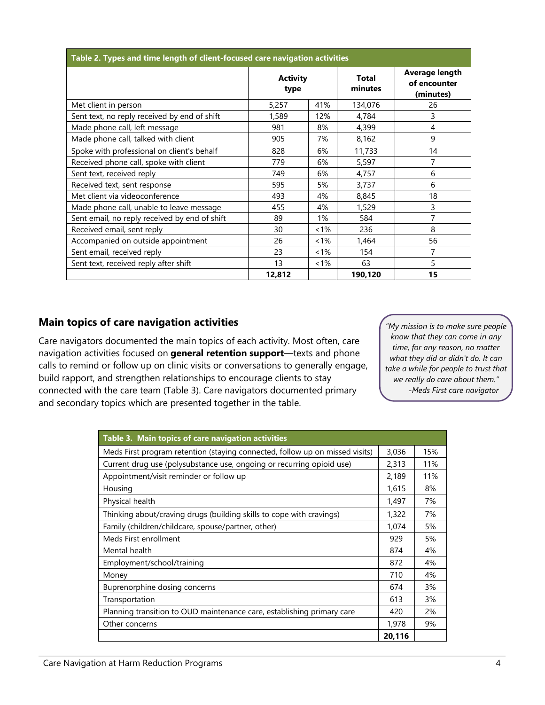| Table 2. Types and time length of client-focused care navigation activities |                         |         |                         |                                             |  |  |
|-----------------------------------------------------------------------------|-------------------------|---------|-------------------------|---------------------------------------------|--|--|
|                                                                             | <b>Activity</b><br>type |         | <b>Total</b><br>minutes | Average length<br>of encounter<br>(minutes) |  |  |
| Met client in person                                                        | 5,257                   | 41%     | 134,076                 | 26                                          |  |  |
| Sent text, no reply received by end of shift                                | 1,589                   | 12%     | 4,784                   | 3                                           |  |  |
| Made phone call, left message                                               | 981                     | 8%      | 4,399                   | 4                                           |  |  |
| Made phone call, talked with client                                         | 905                     | 7%      | 8,162                   | 9                                           |  |  |
| Spoke with professional on client's behalf                                  | 828                     | 6%      | 11,733                  | 14                                          |  |  |
| Received phone call, spoke with client                                      | 779                     | 6%      | 5,597                   | 7                                           |  |  |
| Sent text, received reply                                                   | 749                     | 6%      | 4,757                   | 6                                           |  |  |
| Received text, sent response                                                | 595                     | 5%      | 3,737                   | 6                                           |  |  |
| Met client via videoconference                                              | 493                     | 4%      | 8,845                   | 18                                          |  |  |
| Made phone call, unable to leave message                                    | 455                     | 4%      | 1,529                   | 3                                           |  |  |
| Sent email, no reply received by end of shift                               | 89                      | 1%      | 584                     | 7                                           |  |  |
| Received email, sent reply                                                  | 30                      | $< 1\%$ | 236                     | 8                                           |  |  |
| Accompanied on outside appointment                                          | 26                      | $< 1\%$ | 1,464                   | 56                                          |  |  |
| Sent email, received reply                                                  | 23                      | $< 1\%$ | 154                     | 7                                           |  |  |
| Sent text, received reply after shift                                       | 13                      | $< 1\%$ | 63                      | 5                                           |  |  |
|                                                                             | 12,812                  |         | 190.120                 | 15                                          |  |  |

### **Main topics of care navigation activities**

Care navigators documented the main topics of each activity. Most often, care navigation activities focused on **general retention support**—texts and phone calls to remind or follow up on clinic visits or conversations to generally engage, build rapport, and strengthen relationships to encourage clients to stay connected with the care team (Table 3). Care navigators documented primary and secondary topics which are presented together in the table.

*"My mission is to make sure people know that they can come in any time, for any reason, no matter what they did or didn't do. It can take a while for people to trust that we really do care about them." -Meds First care navigator*

| Table 3. Main topics of care navigation activities                           |        |     |
|------------------------------------------------------------------------------|--------|-----|
| Meds First program retention (staying connected, follow up on missed visits) | 3,036  | 15% |
| Current drug use (polysubstance use, ongoing or recurring opioid use)        | 2,313  | 11% |
| Appointment/visit reminder or follow up                                      | 2,189  | 11% |
| Housing                                                                      | 1,615  | 8%  |
| Physical health                                                              | 1,497  | 7%  |
| Thinking about/craving drugs (building skills to cope with cravings)         | 1,322  | 7%  |
| Family (children/childcare, spouse/partner, other)                           | 1,074  | 5%  |
| Meds First enrollment                                                        | 929    | 5%  |
| Mental health                                                                | 874    | 4%  |
| Employment/school/training                                                   | 872    | 4%  |
| Money                                                                        | 710    | 4%  |
| Buprenorphine dosing concerns                                                | 674    | 3%  |
| Transportation                                                               | 613    | 3%  |
| Planning transition to OUD maintenance care, establishing primary care       | 420    | 2%  |
| Other concerns                                                               | 1,978  | 9%  |
|                                                                              | 20,116 |     |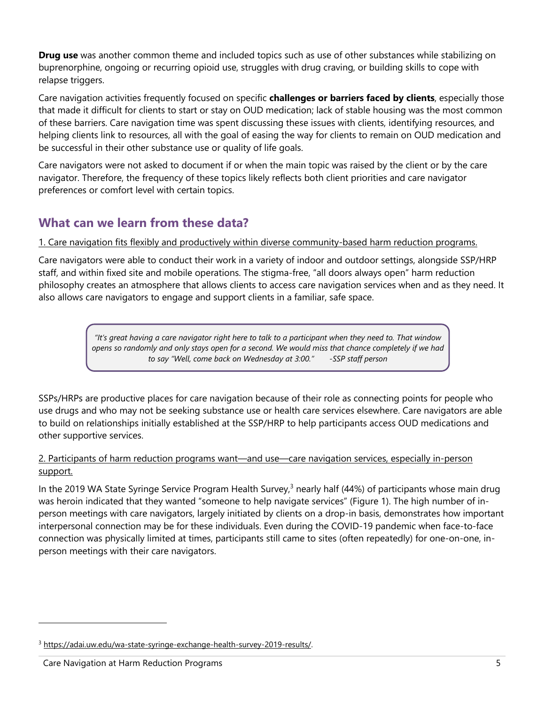**Drug use** was another common theme and included topics such as use of other substances while stabilizing on buprenorphine, ongoing or recurring opioid use, struggles with drug craving, or building skills to cope with relapse triggers.

Care navigation activities frequently focused on specific **challenges or barriers faced by clients**, especially those that made it difficult for clients to start or stay on OUD medication; lack of stable housing was the most common of these barriers. Care navigation time was spent discussing these issues with clients, identifying resources, and helping clients link to resources, all with the goal of easing the way for clients to remain on OUD medication and be successful in their other substance use or quality of life goals.

Care navigators were not asked to document if or when the main topic was raised by the client or by the care navigator. Therefore, the frequency of these topics likely reflects both client priorities and care navigator preferences or comfort level with certain topics.

## **What can we learn from these data?**

#### 1. Care navigation fits flexibly and productively within diverse community-based harm reduction programs.

Care navigators were able to conduct their work in a variety of indoor and outdoor settings, alongside SSP/HRP staff, and within fixed site and mobile operations. The stigma-free, "all doors always open" harm reduction philosophy creates an atmosphere that allows clients to access care navigation services when and as they need. It also allows care navigators to engage and support clients in a familiar, safe space.

> *"It's great having a care navigator right here to talk to a participant when they need to. That window opens so randomly and only stays open for a second. We would miss that chance completely if we had to say "Well, come back on Wednesday at 3:00." -SSP staff person*

SSPs/HRPs are productive places for care navigation because of their role as connecting points for people who use drugs and who may not be seeking substance use or health care services elsewhere. Care navigators are able to build on relationships initially established at the SSP/HRP to help participants access OUD medications and other supportive services.

#### 2. Participants of harm reduction programs want—and use—care navigation services, especially in-person support.

In the 2019 WA State Syringe Service Program Health Survey, $3$  nearly half (44%) of participants whose main drug was heroin indicated that they wanted "someone to help navigate services" (Figure 1). The high number of inperson meetings with care navigators, largely initiated by clients on a drop-in basis, demonstrates how important interpersonal connection may be for these individuals. Even during the COVID-19 pandemic when face-to-face connection was physically limited at times, participants still came to sites (often repeatedly) for one-on-one, inperson meetings with their care navigators.

<sup>3</sup> https://adai.uw.edu/wa-state-syringe-exchange-health-survey-2019-results/.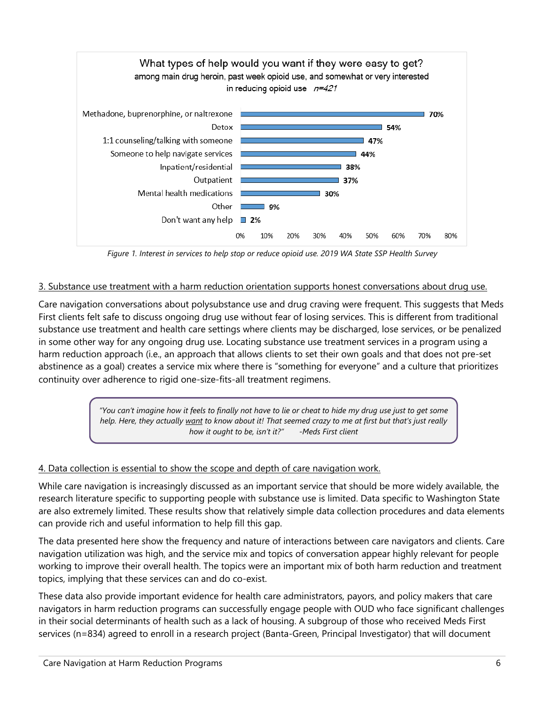

*Figure 1. Interest in services to help stop or reduce opioid use. 2019 WA State SSP Health Survey*

### 3. Substance use treatment with a harm reduction orientation supports honest conversations about drug use.

Care navigation conversations about polysubstance use and drug craving were frequent. This suggests that Meds First clients felt safe to discuss ongoing drug use without fear of losing services. This is different from traditional substance use treatment and health care settings where clients may be discharged, lose services, or be penalized in some other way for any ongoing drug use. Locating substance use treatment services in a program using a harm reduction approach (i.e., an approach that allows clients to set their own goals and that does not pre-set abstinence as a goal) creates a service mix where there is "something for everyone" and a culture that prioritizes continuity over adherence to rigid one-size-fits-all treatment regimens.

> *"You can't imagine how it feels to finally not have to lie or cheat to hide my drug use just to get some help. Here, they actually want to know about it! That seemed crazy to me at first but that's just really how it ought to be, isn't it?" -Meds First client*

### 4. Data collection is essential to show the scope and depth of care navigation work.

While care navigation is increasingly discussed as an important service that should be more widely available, the research literature specific to supporting people with substance use is limited. Data specific to Washington State are also extremely limited. These results show that relatively simple data collection procedures and data elements can provide rich and useful information to help fill this gap.

The data presented here show the frequency and nature of interactions between care navigators and clients. Care navigation utilization was high, and the service mix and topics of conversation appear highly relevant for people working to improve their overall health. The topics were an important mix of both harm reduction and treatment topics, implying that these services can and do co-exist.

These data also provide important evidence for health care administrators, payors, and policy makers that care navigators in harm reduction programs can successfully engage people with OUD who face significant challenges in their social determinants of health such as a lack of housing. A subgroup of those who received Meds First services (n=834) agreed to enroll in a research project (Banta-Green, Principal Investigator) that will document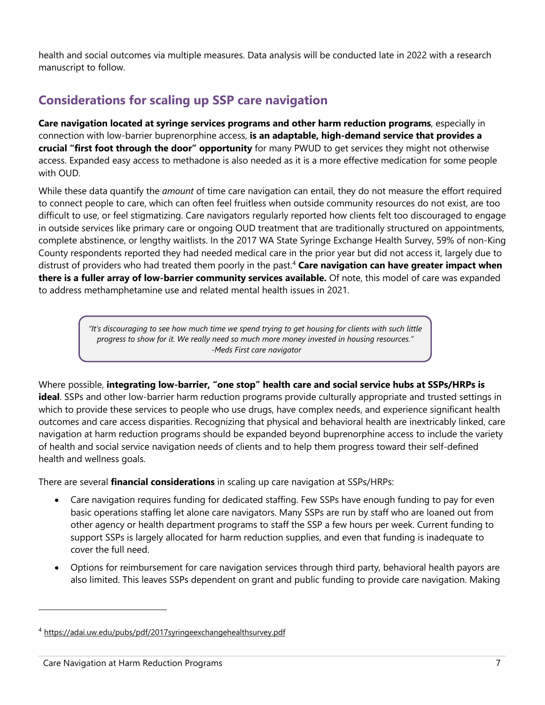health and social outcomes via multiple measures. Data analysis will be conducted late in 2022 with a research manuscript to follow.

# **Considerations for scaling up SSP care navigation**

**Care navigation located at syringe services programs and other harm reduction programs**, especially in connection with low-barrier buprenorphine access, **is an adaptable, high-demand service that provides a crucial "first foot through the door" opportunity** for many PWUD to get services they might not otherwise access. Expanded easy access to methadone is also needed as it is a more effective medication for some people with OUD.

While these data quantify the *amount* of time care navigation can entail, they do not measure the effort required to connect people to care, which can often feel fruitless when outside community resources do not exist, are too difficult to use, or feel stigmatizing. Care navigators regularly reported how clients felt too discouraged to engage in outside services like primary care or ongoing OUD treatment that are traditionally structured on appointments, complete abstinence, or lengthy waitlists. In the 2017 WA State Syringe Exchange Health Survey, 59% of non-King County respondents reported they had needed medical care in the prior year but did not access it, largely due to distrust of providers who had treated them poorly in the past.4 **Care navigation can have greater impact when there is a fuller array of low-barrier community services available.** Of note, this model of care was expanded to address methamphetamine use and related mental health issues in 2021.

> *"It's discouraging to see how much time we spend trying to get housing for clients with such little progress to show for it. We really need so much more money invested in housing resources." -Meds First care navigator*

Where possible, **integrating low-barrier, "one stop" health care and social service hubs at SSPs/HRPs is ideal**. SSPs and other low-barrier harm reduction programs provide culturally appropriate and trusted settings in which to provide these services to people who use drugs, have complex needs, and experience significant health outcomes and care access disparities. Recognizing that physical and behavioral health are inextricably linked, care navigation at harm reduction programs should be expanded beyond buprenorphine access to include the variety of health and social service navigation needs of clients and to help them progress toward their self-defined health and wellness goals.

There are several **financial considerations** in scaling up care navigation at SSPs/HRPs:

- Care navigation requires funding for dedicated staffing. Few SSPs have enough funding to pay for even basic operations staffing let alone care navigators. Many SSPs are run by staff who are loaned out from other agency or health department programs to staff the SSP a few hours per week. Current funding to support SSPs is largely allocated for harm reduction supplies, and even that funding is inadequate to cover the full need.
- Options for reimbursement for care navigation services through third party, behavioral health payors are also limited. This leaves SSPs dependent on grant and public funding to provide care navigation. Making

<sup>4</sup> https://adai.uw.edu/pubs/pdf/2017syringeexchangehealthsurvey.pdf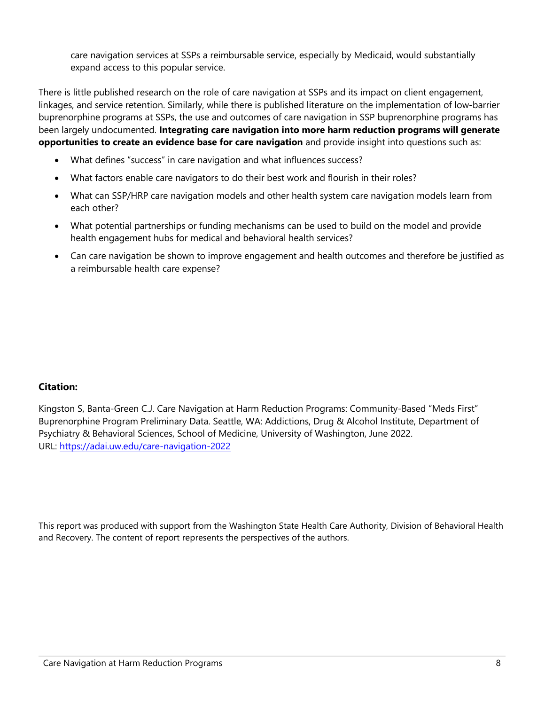care navigation services at SSPs a reimbursable service, especially by Medicaid, would substantially expand access to this popular service.

There is little published research on the role of care navigation at SSPs and its impact on client engagement, linkages, and service retention. Similarly, while there is published literature on the implementation of low-barrier buprenorphine programs at SSPs, the use and outcomes of care navigation in SSP buprenorphine programs has been largely undocumented. **Integrating care navigation into more harm reduction programs will generate opportunities to create an evidence base for care navigation** and provide insight into questions such as:

- What defines "success" in care navigation and what influences success?
- What factors enable care navigators to do their best work and flourish in their roles?
- What can SSP/HRP care navigation models and other health system care navigation models learn from each other?
- What potential partnerships or funding mechanisms can be used to build on the model and provide health engagement hubs for medical and behavioral health services?
- Can care navigation be shown to improve engagement and health outcomes and therefore be justified as a reimbursable health care expense?

#### **Citation:**

Kingston S, Banta-Green C.J. Care Navigation at Harm Reduction Programs: Community-Based "Meds First" Buprenorphine Program Preliminary Data. Seattle, WA: Addictions, Drug & Alcohol Institute, Department of Psychiatry & Behavioral Sciences, School of Medicine, University of Washington, June 2022. URL: https://adai.uw.edu/care-navigation-2022

This report was produced with support from the Washington State Health Care Authority, Division of Behavioral Health and Recovery. The content of report represents the perspectives of the authors.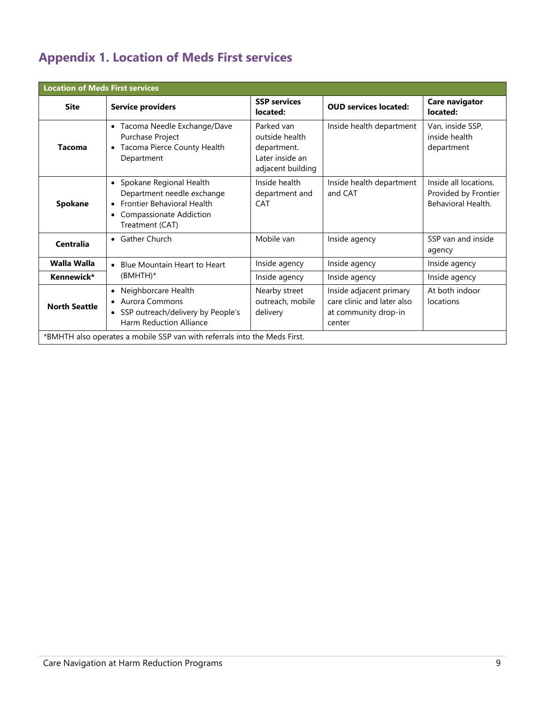# **Appendix 1. Location of Meds First services**

| <b>Location of Meds First services</b>                                    |                                                                                                                                                         |                                                                                     |                                                                                         |                                                                     |  |  |
|---------------------------------------------------------------------------|---------------------------------------------------------------------------------------------------------------------------------------------------------|-------------------------------------------------------------------------------------|-----------------------------------------------------------------------------------------|---------------------------------------------------------------------|--|--|
| <b>Site</b>                                                               | <b>Service providers</b>                                                                                                                                | <b>SSP services</b><br>located:                                                     | <b>OUD services located:</b>                                                            | Care navigator<br>located:                                          |  |  |
| Tacoma                                                                    | Tacoma Needle Exchange/Dave<br>$\bullet$<br>Purchase Project<br>Tacoma Pierce County Health<br>Department                                               | Parked van<br>outside health<br>department.<br>Later inside an<br>adjacent building | Inside health department                                                                | Van, inside SSP,<br>inside health<br>department                     |  |  |
| Spokane                                                                   | • Spokane Regional Health<br>Department needle exchange<br><b>Frontier Behavioral Health</b><br>Compassionate Addiction<br>$\bullet$<br>Treatment (CAT) | Inside health<br>department and<br><b>CAT</b>                                       | Inside health department<br>and CAT                                                     | Inside all locations.<br>Provided by Frontier<br>Behavioral Health. |  |  |
| <b>Centralia</b>                                                          | • Gather Church                                                                                                                                         | Mobile van                                                                          | Inside agency                                                                           | SSP van and inside<br>agency                                        |  |  |
| <b>Walla Walla</b>                                                        | • Blue Mountain Heart to Heart                                                                                                                          | Inside agency                                                                       | Inside agency                                                                           | Inside agency                                                       |  |  |
| Kennewick*                                                                | $(BMHTH)^*$                                                                                                                                             | Inside agency                                                                       | Inside agency                                                                           | Inside agency                                                       |  |  |
| <b>North Seattle</b>                                                      | Neighborcare Health<br>$\bullet$<br>• Aurora Commons<br>• SSP outreach/delivery by People's<br>Harm Reduction Alliance                                  | Nearby street<br>outreach, mobile<br>delivery                                       | Inside adjacent primary<br>care clinic and later also<br>at community drop-in<br>center | At both indoor<br>locations                                         |  |  |
| *BMHTH also operates a mobile SSP van with referrals into the Meds First. |                                                                                                                                                         |                                                                                     |                                                                                         |                                                                     |  |  |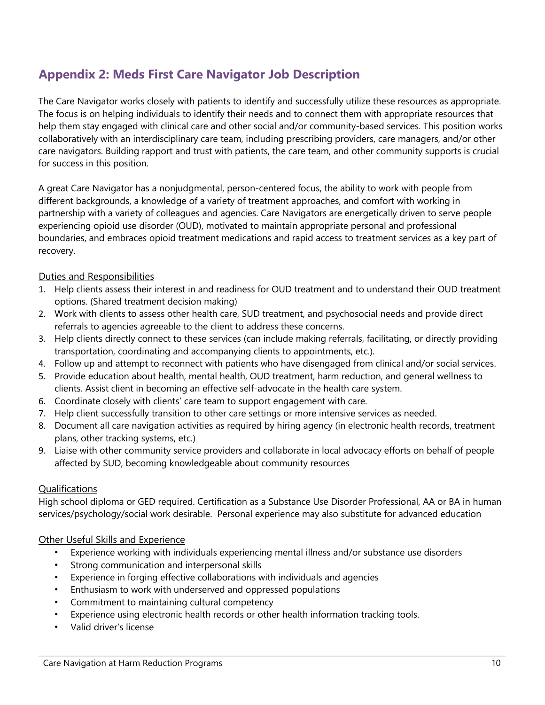# **Appendix 2: Meds First Care Navigator Job Description**

The Care Navigator works closely with patients to identify and successfully utilize these resources as appropriate. The focus is on helping individuals to identify their needs and to connect them with appropriate resources that help them stay engaged with clinical care and other social and/or community-based services. This position works collaboratively with an interdisciplinary care team, including prescribing providers, care managers, and/or other care navigators. Building rapport and trust with patients, the care team, and other community supports is crucial for success in this position.

A great Care Navigator has a nonjudgmental, person-centered focus, the ability to work with people from different backgrounds, a knowledge of a variety of treatment approaches, and comfort with working in partnership with a variety of colleagues and agencies. Care Navigators are energetically driven to serve people experiencing opioid use disorder (OUD), motivated to maintain appropriate personal and professional boundaries, and embraces opioid treatment medications and rapid access to treatment services as a key part of recovery.

#### Duties and Responsibilities

- 1. Help clients assess their interest in and readiness for OUD treatment and to understand their OUD treatment options. (Shared treatment decision making)
- 2. Work with clients to assess other health care, SUD treatment, and psychosocial needs and provide direct referrals to agencies agreeable to the client to address these concerns.
- 3. Help clients directly connect to these services (can include making referrals, facilitating, or directly providing transportation, coordinating and accompanying clients to appointments, etc.).
- 4. Follow up and attempt to reconnect with patients who have disengaged from clinical and/or social services.
- 5. Provide education about health, mental health, OUD treatment, harm reduction, and general wellness to clients. Assist client in becoming an effective self-advocate in the health care system.
- 6. Coordinate closely with clients' care team to support engagement with care.
- 7. Help client successfully transition to other care settings or more intensive services as needed.
- 8. Document all care navigation activities as required by hiring agency (in electronic health records, treatment plans, other tracking systems, etc.)
- 9. Liaise with other community service providers and collaborate in local advocacy efforts on behalf of people affected by SUD, becoming knowledgeable about community resources

#### Qualifications

High school diploma or GED required. Certification as a Substance Use Disorder Professional, AA or BA in human services/psychology/social work desirable. Personal experience may also substitute for advanced education

#### Other Useful Skills and Experience

- Experience working with individuals experiencing mental illness and/or substance use disorders
- Strong communication and interpersonal skills
- Experience in forging effective collaborations with individuals and agencies
- Enthusiasm to work with underserved and oppressed populations
- Commitment to maintaining cultural competency
- Experience using electronic health records or other health information tracking tools.
- Valid driver's license